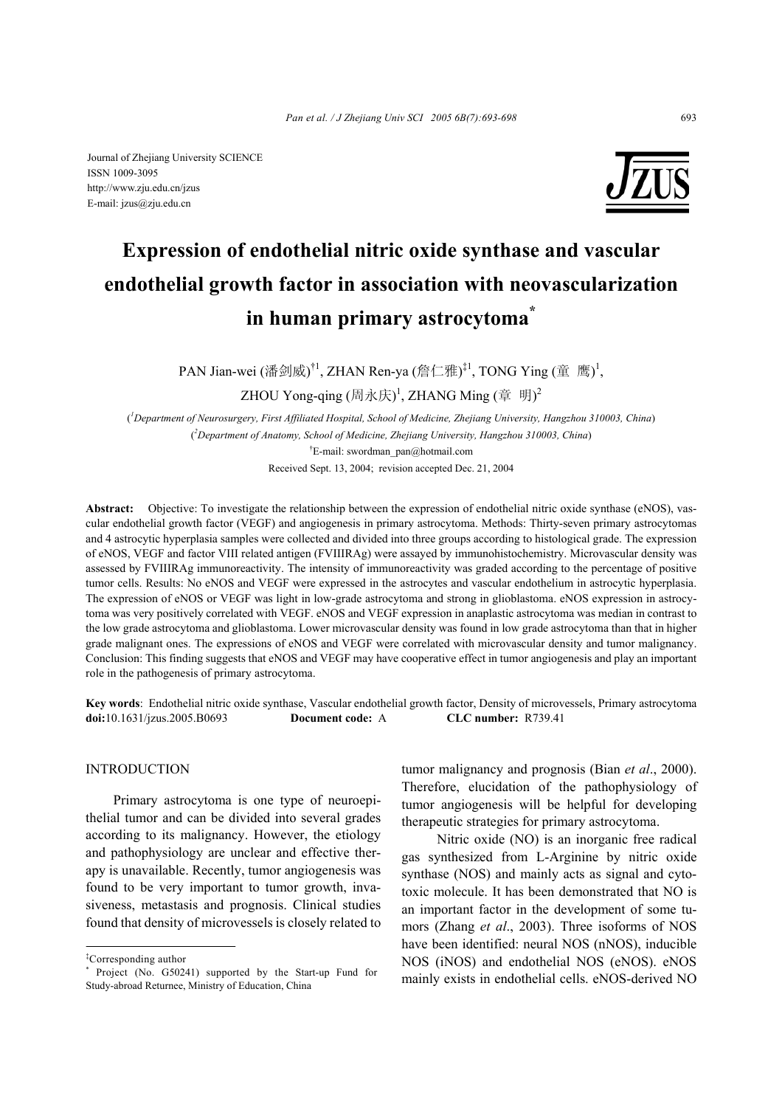Journal of Zhejiang University SCIENCE ISSN 1009-3095 http://www.zju.edu.cn/jzus E-mail: jzus@zju.edu.cn



# **Expression of endothelial nitric oxide synthase and vascular endothelial growth factor in association with neovascularization in human primary astrocytoma\***

PAN Jian-wei (潘剑威)<sup>†1</sup>, ZHAN Ren-ya (詹仁雅)<sup>‡1</sup>, TONG Ying (童 鹰)<sup>1</sup>,

ZHOU Yong-qing  $(\text{{)}, \text{K})^1$ , ZHANG Ming  $(\{^\pm \} \ \text{)}^2$ 

( *1 Department of Neurosurgery, First Affiliated Hospital, School of Medicine, Zhejiang University, Hangzhou 310003, China*) ( *2 Department of Anatomy, School of Medicine, Zhejiang University, Hangzhou 310003, China*) † E-mail: swordman\_pan@hotmail.com

Received Sept. 13, 2004; revision accepted Dec. 21, 2004

**Abstract:** Objective: To investigate the relationship between the expression of endothelial nitric oxide synthase (eNOS), vascular endothelial growth factor (VEGF) and angiogenesis in primary astrocytoma. Methods: Thirty-seven primary astrocytomas and 4 astrocytic hyperplasia samples were collected and divided into three groups according to histological grade. The expression of eNOS, VEGF and factor VIII related antigen (FVIIIRAg) were assayed by immunohistochemistry. Microvascular density was assessed by FVIIIRAg immunoreactivity. The intensity of immunoreactivity was graded according to the percentage of positive tumor cells. Results: No eNOS and VEGF were expressed in the astrocytes and vascular endothelium in astrocytic hyperplasia. The expression of eNOS or VEGF was light in low-grade astrocytoma and strong in glioblastoma. eNOS expression in astrocytoma was very positively correlated with VEGF. eNOS and VEGF expression in anaplastic astrocytoma was median in contrast to the low grade astrocytoma and glioblastoma. Lower microvascular density was found in low grade astrocytoma than that in higher grade malignant ones. The expressions of eNOS and VEGF were correlated with microvascular density and tumor malignancy. Conclusion: This finding suggests that eNOS and VEGF may have cooperative effect in tumor angiogenesis and play an important role in the pathogenesis of primary astrocytoma.

**Key words**: Endothelial nitric oxide synthase, Vascular endothelial growth factor, Density of microvessels, Primary astrocytoma **doi:**10.1631/jzus.2005.B0693 **Document code:** A **CLC number:** R739.41

## **INTRODUCTION**

Primary astrocytoma is one type of neuroepithelial tumor and can be divided into several grades according to its malignancy. However, the etiology and pathophysiology are unclear and effective therapy is unavailable. Recently, tumor angiogenesis was found to be very important to tumor growth, invasiveness, metastasis and prognosis. Clinical studies found that density of microvessels is closely related to

tumor malignancy and prognosis (Bian *et al*., 2000). Therefore, elucidation of the pathophysiology of tumor angiogenesis will be helpful for developing therapeutic strategies for primary astrocytoma.

 Nitric oxide (NO) is an inorganic free radical gas synthesized from L-Arginine by nitric oxide synthase (NOS) and mainly acts as signal and cytotoxic molecule. It has been demonstrated that NO is an important factor in the development of some tumors (Zhang *et al*., 2003). Three isoforms of NOS have been identified: neural NOS (nNOS), inducible NOS (iNOS) and endothelial NOS (eNOS). eNOS mainly exists in endothelial cells. eNOS-derived NO

<sup>‡</sup> Corresponding author

<sup>\*</sup> Project (No. G50241) supported by the Start-up Fund for Study-abroad Returnee, Ministry of Education, China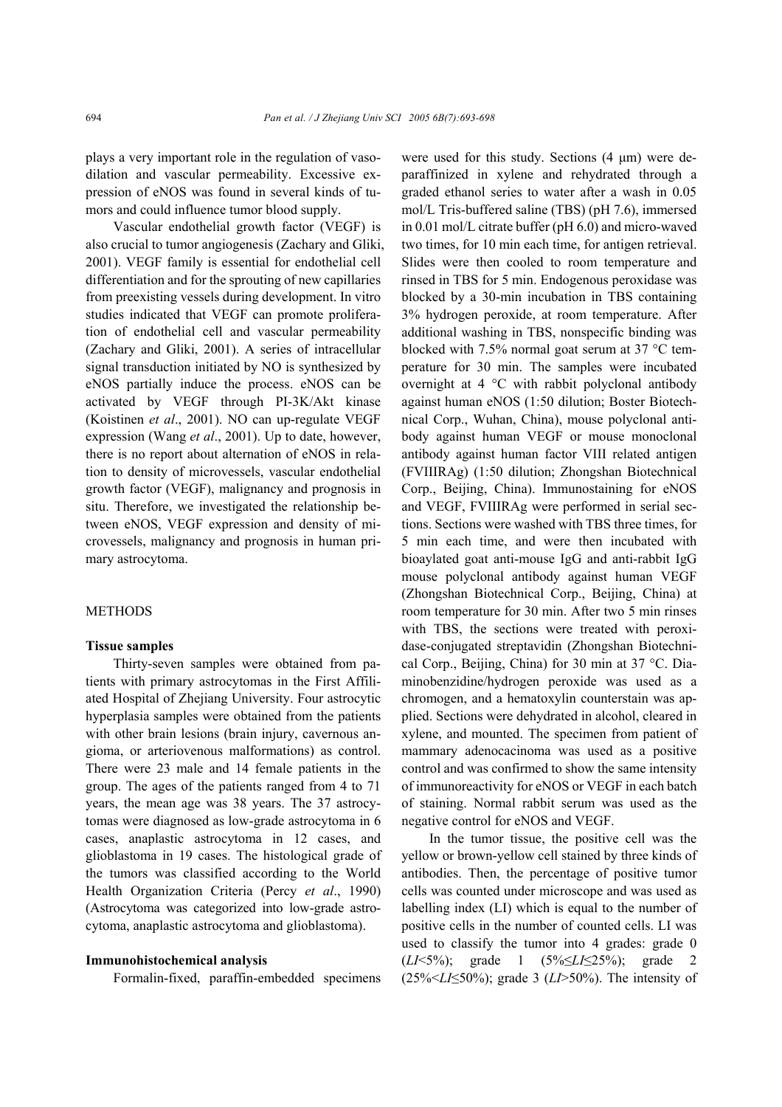plays a very important role in the regulation of vasodilation and vascular permeability. Excessive expression of eNOS was found in several kinds of tumors and could influence tumor blood supply.

Vascular endothelial growth factor (VEGF) is also crucial to tumor angiogenesis (Zachary and Gliki, 2001). VEGF family is essential for endothelial cell differentiation and for the sprouting of new capillaries from preexisting vessels during development. In vitro studies indicated that VEGF can promote proliferation of endothelial cell and vascular permeability (Zachary and Gliki, 2001). A series of intracellular signal transduction initiated by NO is synthesized by eNOS partially induce the process. eNOS can be activated by VEGF through PI-3K/Akt kinase (Koistinen *et al*., 2001). NO can up-regulate VEGF expression (Wang *et al*., 2001). Up to date, however, there is no report about alternation of eNOS in relation to density of microvessels, vascular endothelial growth factor (VEGF), malignancy and prognosis in situ. Therefore, we investigated the relationship between eNOS, VEGF expression and density of microvessels, malignancy and prognosis in human primary astrocytoma.

#### METHODS

#### **Tissue samples**

Thirty-seven samples were obtained from patients with primary astrocytomas in the First Affiliated Hospital of Zhejiang University. Four astrocytic hyperplasia samples were obtained from the patients with other brain lesions (brain injury, cavernous angioma, or arteriovenous malformations) as control. There were 23 male and 14 female patients in the group. The ages of the patients ranged from 4 to 71 years, the mean age was 38 years. The 37 astrocytomas were diagnosed as low-grade astrocytoma in 6 cases, anaplastic astrocytoma in 12 cases, and glioblastoma in 19 cases. The histological grade of the tumors was classified according to the World Health Organization Criteria (Percy *et al*., 1990) (Astrocytoma was categorized into low-grade astrocytoma, anaplastic astrocytoma and glioblastoma).

#### **Immunohistochemical analysis**

Formalin-fixed, paraffin-embedded specimens

were used for this study. Sections (4 µm) were deparaffinized in xylene and rehydrated through a graded ethanol series to water after a wash in 0.05 mol/L Tris-buffered saline (TBS) (pH 7.6), immersed in 0.01 mol/L citrate buffer (pH 6.0) and micro-waved two times, for 10 min each time, for antigen retrieval. Slides were then cooled to room temperature and rinsed in TBS for 5 min. Endogenous peroxidase was blocked by a 30-min incubation in TBS containing 3% hydrogen peroxide, at room temperature. After additional washing in TBS, nonspecific binding was blocked with 7.5% normal goat serum at 37 °C temperature for 30 min. The samples were incubated overnight at 4 °C with rabbit polyclonal antibody against human eNOS (1:50 dilution; Boster Biotechnical Corp., Wuhan, China), mouse polyclonal antibody against human VEGF or mouse monoclonal antibody against human factor VIII related antigen (FVIIIRAg) (1:50 dilution; Zhongshan Biotechnical Corp., Beijing, China). Immunostaining for eNOS and VEGF, FVIIIRAg were performed in serial sections. Sections were washed with TBS three times, for 5 min each time, and were then incubated with bioaylated goat anti-mouse IgG and anti-rabbit IgG mouse polyclonal antibody against human VEGF (Zhongshan Biotechnical Corp., Beijing, China) at room temperature for 30 min. After two 5 min rinses with TBS, the sections were treated with peroxidase-conjugated streptavidin (Zhongshan Biotechnical Corp., Beijing, China) for 30 min at 37 °C. Diaminobenzidine/hydrogen peroxide was used as a chromogen, and a hematoxylin counterstain was applied. Sections were dehydrated in alcohol, cleared in xylene, and mounted. The specimen from patient of mammary adenocacinoma was used as a positive control and was confirmed to show the same intensity of immunoreactivity for eNOS or VEGF in each batch of staining. Normal rabbit serum was used as the negative control for eNOS and VEGF.

In the tumor tissue, the positive cell was the yellow or brown-yellow cell stained by three kinds of antibodies. Then, the percentage of positive tumor cells was counted under microscope and was used as labelling index (LI) which is equal to the number of positive cells in the number of counted cells. LI was used to classify the tumor into 4 grades: grade 0 (*LI*<5%); grade 1 (5%≤*LI*≤25%); grade 2 (25%<*LI*≤50%); grade 3 (*LI*>50%). The intensity of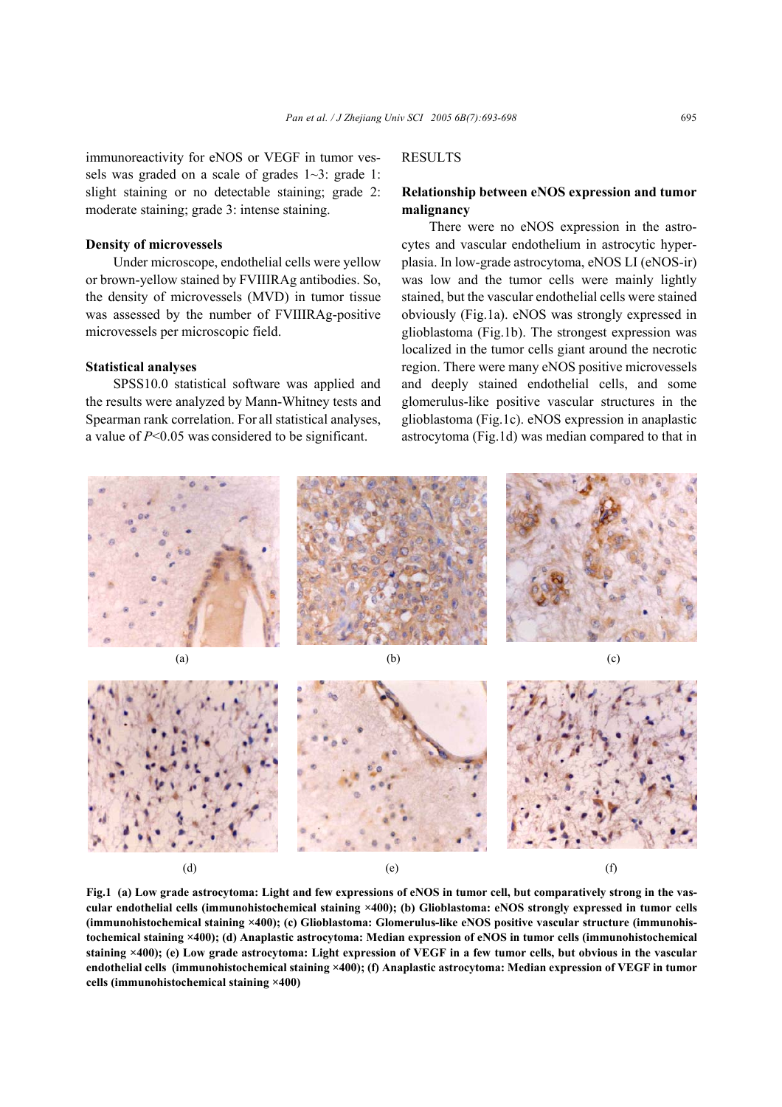immunoreactivity for eNOS or VEGF in tumor vessels was graded on a scale of grades  $1-3$ : grade 1: slight staining or no detectable staining; grade 2: moderate staining; grade 3: intense staining.

#### **Density of microvessels**

Under microscope, endothelial cells were yellow or brown-yellow stained by FVIIIRAg antibodies. So, the density of microvessels (MVD) in tumor tissue was assessed by the number of FVIIIRAg-positive microvessels per microscopic field.

#### **Statistical analyses**

SPSS10.0 statistical software was applied and the results were analyzed by Mann-Whitney tests and Spearman rank correlation. For all statistical analyses, a value of *P*<0.05 was considered to be significant.

## **RESULTS**

## **Relationship between eNOS expression and tumor malignancy**

There were no eNOS expression in the astrocytes and vascular endothelium in astrocytic hyperplasia. In low-grade astrocytoma, eNOS LI (eNOS-ir) was low and the tumor cells were mainly lightly stained, but the vascular endothelial cells were stained obviously (Fig.1a). eNOS was strongly expressed in glioblastoma (Fig.1b). The strongest expression was localized in the tumor cells giant around the necrotic region. There were many eNOS positive microvessels and deeply stained endothelial cells, and some glomerulus-like positive vascular structures in the glioblastoma (Fig.1c). eNOS expression in anaplastic astrocytoma (Fig.1d) was median compared to that in



**Fig.1 (a) Low grade astrocytoma: Light and few expressions of eNOS in tumor cell, but comparatively strong in the vascular endothelial cells (immunohistochemical staining ×400); (b) Glioblastoma: eNOS strongly expressed in tumor cells (immunohistochemical staining ×400); (c) Glioblastoma: Glomerulus-like eNOS positive vascular structure (immunohistochemical staining ×400); (d) Anaplastic astrocytoma: Median expression of eNOS in tumor cells (immunohistochemical staining ×400); (e) Low grade astrocytoma: Light expression of VEGF in a few tumor cells, but obvious in the vascular endothelial cells (immunohistochemical staining ×400); (f) Anaplastic astrocytoma: Median expression of VEGF in tumor cells (immunohistochemical staining ×400)**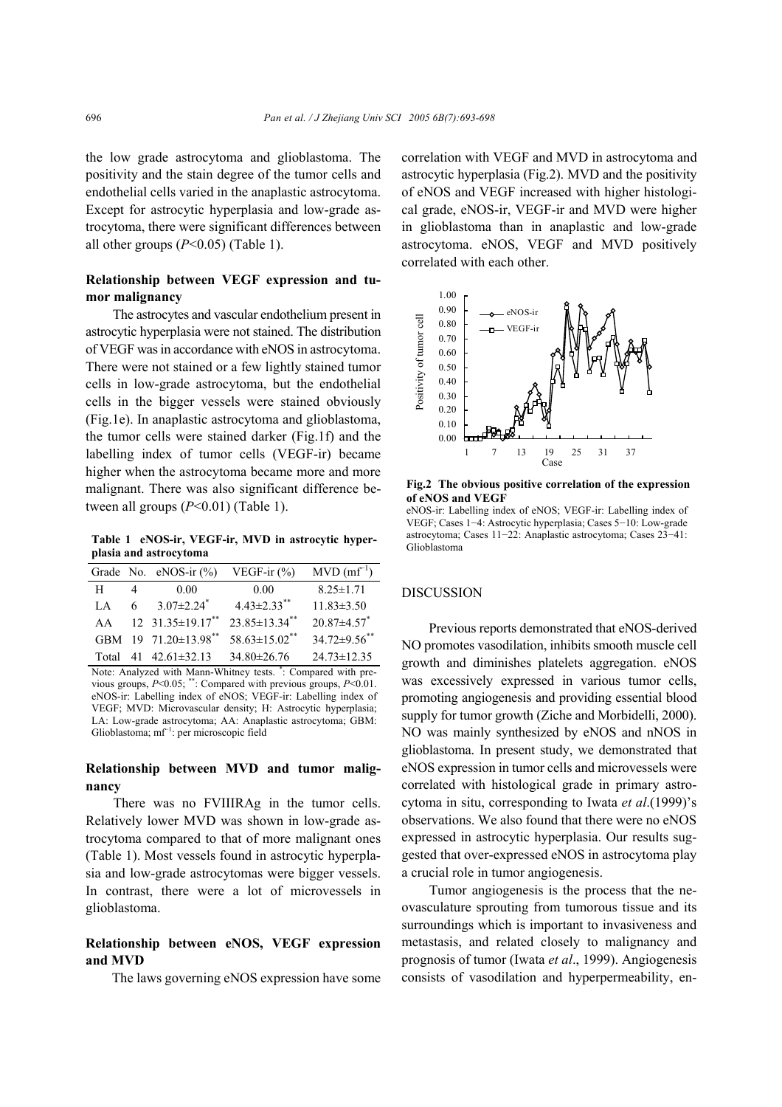the low grade astrocytoma and glioblastoma. The positivity and the stain degree of the tumor cells and endothelial cells varied in the anaplastic astrocytoma. Except for astrocytic hyperplasia and low-grade astrocytoma, there were significant differences between all other groups  $(P<0.05)$  (Table 1).

## **Relationship between VEGF expression and tumor malignancy**

The astrocytes and vascular endothelium present in astrocytic hyperplasia were not stained. The distribution of VEGF was in accordance with eNOS in astrocytoma. There were not stained or a few lightly stained tumor cells in low-grade astrocytoma, but the endothelial cells in the bigger vessels were stained obviously (Fig.1e). In anaplastic astrocytoma and glioblastoma, the tumor cells were stained darker (Fig.1f) and the labelling index of tumor cells (VEGF-ir) became higher when the astrocytoma became more and more malignant. There was also significant difference between all groups (*P*<0.01) (Table 1).

**Table 1 eNOS-ir, VEGF-ir, MVD in astrocytic hyperplasia and astrocytoma** 

|       |                | Grade No. $eNOS-ir$ (%)      | VEGF-ir $(\% )$                 | $MVD$ (mf <sup>-1</sup> )     |
|-------|----------------|------------------------------|---------------------------------|-------------------------------|
| Н     | $\overline{4}$ | 0.00                         | 0.00                            | $8.25 \pm 1.71$               |
| LA.   | 6              | $3.07 \pm 2.24$ <sup>*</sup> | $4.43 \pm 2.33$ <sup>**</sup>   | $11.83 \pm 3.50$              |
| AA    |                | 12 $31.35 \pm 19.17$ **      | $23.85 \pm 13.34$ **            | $20.87 \pm 4.57$ <sup>*</sup> |
|       |                | GBM 19 71.20±13.98**         | $58.63 \pm 15.02$ <sup>**</sup> | $34.72\pm9.56$ **             |
| Total |                | 41 $42.61 \pm 32.13$         | $34.80 \pm 26.76$               | $24.73 \pm 12.35$             |

Note: Analyzed with Mann-Whitney tests. \* : Compared with previous groups, *P*<0.05; \*\*: Compared with previous groups, *P*<0.01. eNOS-ir: Labelling index of eNOS; VEGF-ir: Labelling index of VEGF; MVD: Microvascular density; H: Astrocytic hyperplasia; LA: Low-grade astrocytoma; AA: Anaplastic astrocytoma; GBM: Glioblastoma; mf<sup>−</sup><sup>1</sup> : per microscopic field

## **Relationship between MVD and tumor malignancy**

There was no FVIIIRAg in the tumor cells. Relatively lower MVD was shown in low-grade astrocytoma compared to that of more malignant ones (Table 1). Most vessels found in astrocytic hyperplasia and low-grade astrocytomas were bigger vessels. In contrast, there were a lot of microvessels in glioblastoma.

## **Relationship between eNOS, VEGF expression and MVD**

The laws governing eNOS expression have some

correlation with VEGF and MVD in astrocytoma and astrocytic hyperplasia (Fig.2). MVD and the positivity of eNOS and VEGF increased with higher histological grade, eNOS-ir, VEGF-ir and MVD were higher in glioblastoma than in anaplastic and low-grade astrocytoma. eNOS, VEGF and MVD positively correlated with each other.



**Fig.2 The obvious positive correlation of the expression of eNOS and VEGF** 

eNOS-ir: Labelling index of eNOS; VEGF-ir: Labelling index of VEGF; Cases 1−4: Astrocytic hyperplasia; Cases 5−10: Low-grade astrocytoma; Cases 11−22: Anaplastic astrocytoma; Cases 23−41: Glioblastoma

#### DISCUSSION

Previous reports demonstrated that eNOS-derived NO promotes vasodilation, inhibits smooth muscle cell growth and diminishes platelets aggregation. eNOS was excessively expressed in various tumor cells, promoting angiogenesis and providing essential blood supply for tumor growth (Ziche and Morbidelli, 2000). NO was mainly synthesized by eNOS and nNOS in glioblastoma. In present study, we demonstrated that eNOS expression in tumor cells and microvessels were correlated with histological grade in primary astrocytoma in situ, corresponding to Iwata *et al*.(1999)'s observations. We also found that there were no eNOS expressed in astrocytic hyperplasia. Our results suggested that over-expressed eNOS in astrocytoma play a crucial role in tumor angiogenesis.

Tumor angiogenesis is the process that the neovasculature sprouting from tumorous tissue and its surroundings which is important to invasiveness and metastasis, and related closely to malignancy and prognosis of tumor (Iwata *et al*., 1999). Angiogenesis consists of vasodilation and hyperpermeability, en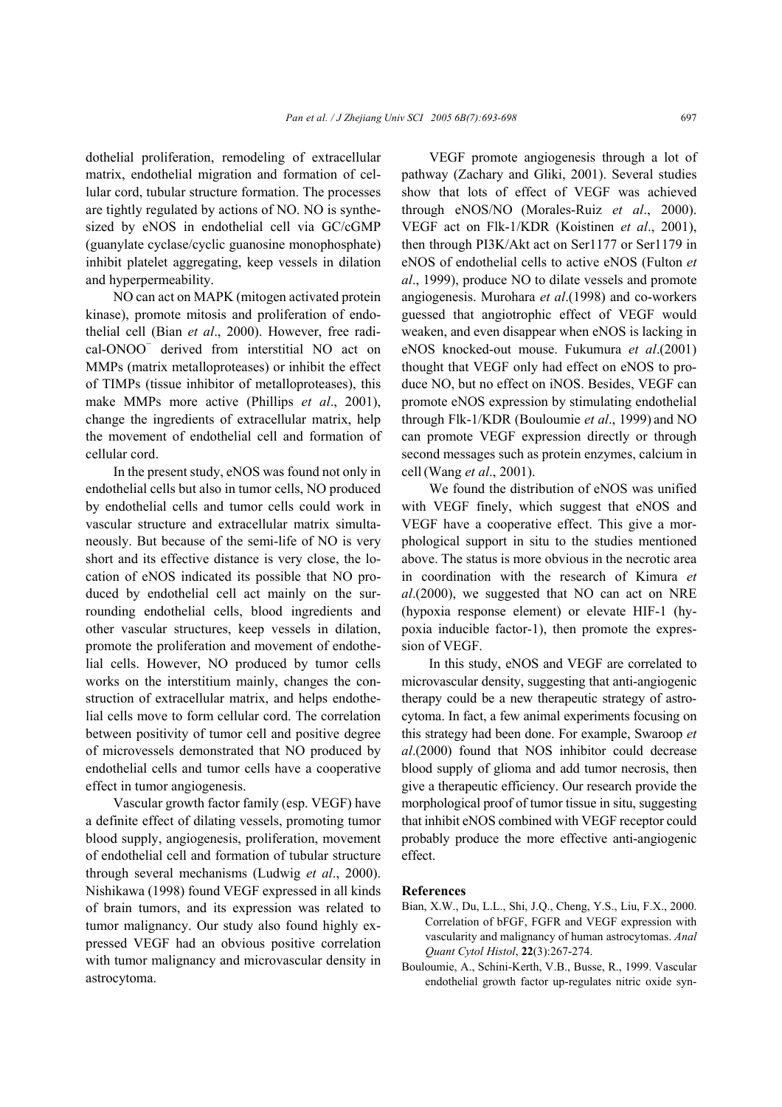dothelial proliferation, remodeling of extracellular matrix, endothelial migration and formation of cellular cord, tubular structure formation. The processes are tightly regulated by actions of NO. NO is synthesized by eNOS in endothelial cell via GC/cGMP (guanylate cyclase/cyclic guanosine monophosphate) inhibit platelet aggregating, keep vessels in dilation and hyperpermeability.

NO can act on MAPK (mitogen activated protein kinase), promote mitosis and proliferation of endothelial cell (Bian *et al*., 2000). However, free radical-ONOO<sup>−</sup> derived from interstitial NO act on MMPs (matrix metalloproteases) or inhibit the effect of TIMPs (tissue inhibitor of metalloproteases), this make MMPs more active (Phillips *et al*., 2001), change the ingredients of extracellular matrix, help the movement of endothelial cell and formation of cellular cord.

In the present study, eNOS was found not only in endothelial cells but also in tumor cells, NO produced by endothelial cells and tumor cells could work in vascular structure and extracellular matrix simultaneously. But because of the semi-life of NO is very short and its effective distance is very close, the location of eNOS indicated its possible that NO produced by endothelial cell act mainly on the surrounding endothelial cells, blood ingredients and other vascular structures, keep vessels in dilation, promote the proliferation and movement of endothelial cells. However, NO produced by tumor cells works on the interstitium mainly, changes the construction of extracellular matrix, and helps endothelial cells move to form cellular cord. The correlation between positivity of tumor cell and positive degree of microvessels demonstrated that NO produced by endothelial cells and tumor cells have a cooperative effect in tumor angiogenesis.

Vascular growth factor family (esp. VEGF) have a definite effect of dilating vessels, promoting tumor blood supply, angiogenesis, proliferation, movement of endothelial cell and formation of tubular structure through several mechanisms (Ludwig *et al*., 2000). Nishikawa (1998) found VEGF expressed in all kinds of brain tumors, and its expression was related to tumor malignancy. Our study also found highly expressed VEGF had an obvious positive correlation with tumor malignancy and microvascular density in astrocytoma.

VEGF promote angiogenesis through a lot of pathway (Zachary and Gliki, 2001). Several studies show that lots of effect of VEGF was achieved through eNOS/NO (Morales-Ruiz *et al*., 2000). VEGF act on Flk-1/KDR (Koistinen *et al*., 2001), then through PI3K/Akt act on Ser1177 or Ser1179 in eNOS of endothelial cells to active eNOS (Fulton *et al*., 1999), produce NO to dilate vessels and promote angiogenesis. Murohara *et al*.(1998) and co-workers guessed that angiotrophic effect of VEGF would weaken, and even disappear when eNOS is lacking in eNOS knocked-out mouse. Fukumura *et al*.(2001) thought that VEGF only had effect on eNOS to produce NO, but no effect on iNOS. Besides, VEGF can promote eNOS expression by stimulating endothelial through Flk-1/KDR (Bouloumie *et al*., 1999) and NO can promote VEGF expression directly or through second messages such as protein enzymes, calcium in cell (Wang *et al*., 2001).

We found the distribution of eNOS was unified with VEGF finely, which suggest that eNOS and VEGF have a cooperative effect. This give a morphological support in situ to the studies mentioned above. The status is more obvious in the necrotic area in coordination with the research of Kimura *et al*.(2000), we suggested that NO can act on NRE (hypoxia response element) or elevate HIF-1 (hypoxia inducible factor-1), then promote the expression of VEGF.

In this study, eNOS and VEGF are correlated to microvascular density, suggesting that anti-angiogenic therapy could be a new therapeutic strategy of astrocytoma. In fact, a few animal experiments focusing on this strategy had been done. For example, Swaroop *et al*.(2000) found that NOS inhibitor could decrease blood supply of glioma and add tumor necrosis, then give a therapeutic efficiency. Our research provide the morphological proof of tumor tissue in situ, suggesting that inhibit eNOS combined with VEGF receptor could probably produce the more effective anti-angiogenic effect.

#### **References**

- Bian, X.W., Du, L.L., Shi, J.Q., Cheng, Y.S., Liu, F.X., 2000. Correlation of bFGF, FGFR and VEGF expression with vascularity and malignancy of human astrocytomas. *Anal Quant Cytol Histol*, **22**(3):267-274.
- Bouloumie, A., Schini-Kerth, V.B., Busse, R., 1999. Vascular endothelial growth factor up-regulates nitric oxide syn-